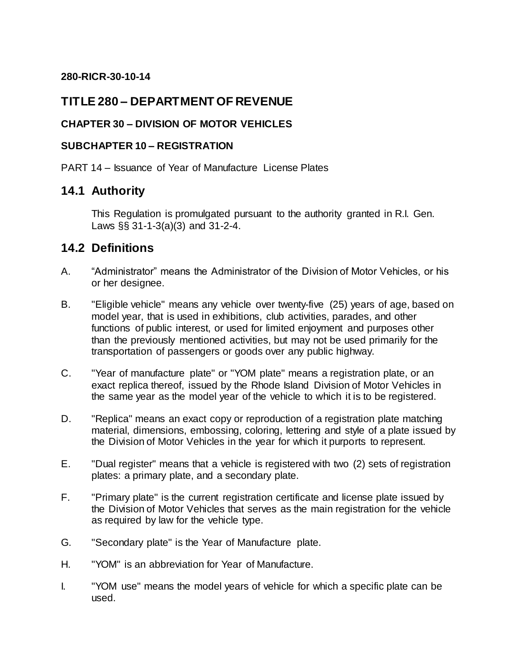#### **280-RICR-30-10-14**

# **TITLE 280 – DEPARTMENT OF REVENUE**

### **CHAPTER 30 – DIVISION OF MOTOR VEHICLES**

#### **SUBCHAPTER 10 – REGISTRATION**

PART 14 – Issuance of Year of Manufacture License Plates

## **14.1 Authority**

This Regulation is promulgated pursuant to the authority granted in R.I. Gen. Laws §§ 31-1-3(a)(3) and 31-2-4.

# **14.2 Definitions**

- A. "Administrator" means the Administrator of the Division of Motor Vehicles, or his or her designee.
- B. "Eligible vehicle" means any vehicle over twenty-five (25) years of age, based on model year, that is used in exhibitions, club activities, parades, and other functions of public interest, or used for limited enjoyment and purposes other than the previously mentioned activities, but may not be used primarily for the transportation of passengers or goods over any public highway.
- C. "Year of manufacture plate" or "YOM plate" means a registration plate, or an exact replica thereof, issued by the Rhode Island Division of Motor Vehicles in the same year as the model year of the vehicle to which it is to be registered.
- D. "Replica" means an exact copy or reproduction of a registration plate matching material, dimensions, embossing, coloring, lettering and style of a plate issued by the Division of Motor Vehicles in the year for which it purports to represent.
- E. "Dual register" means that a vehicle is registered with two (2) sets of registration plates: a primary plate, and a secondary plate.
- F. "Primary plate" is the current registration certificate and license plate issued by the Division of Motor Vehicles that serves as the main registration for the vehicle as required by law for the vehicle type.
- G. "Secondary plate" is the Year of Manufacture plate.
- H. "YOM" is an abbreviation for Year of Manufacture.
- I. "YOM use" means the model years of vehicle for which a specific plate can be used.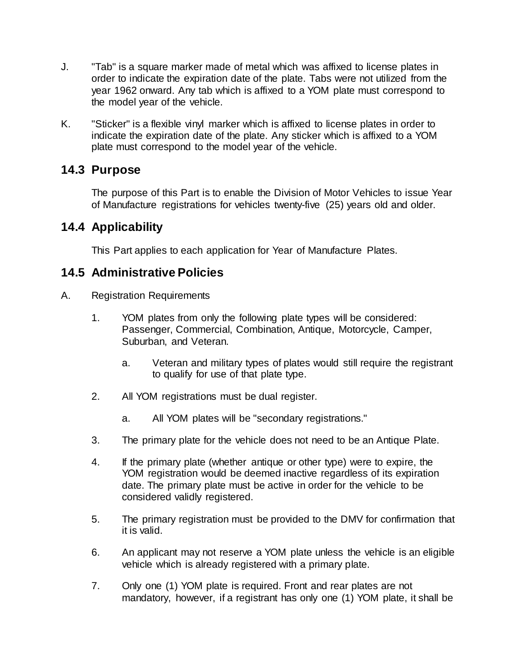- J. "Tab" is a square marker made of metal which was affixed to license plates in order to indicate the expiration date of the plate. Tabs were not utilized from the year 1962 onward. Any tab which is affixed to a YOM plate must correspond to the model year of the vehicle.
- K. "Sticker" is a flexible vinyl marker which is affixed to license plates in order to indicate the expiration date of the plate. Any sticker which is affixed to a YOM plate must correspond to the model year of the vehicle.

## **14.3 Purpose**

The purpose of this Part is to enable the Division of Motor Vehicles to issue Year of Manufacture registrations for vehicles twenty-five (25) years old and older.

# **14.4 Applicability**

This Part applies to each application for Year of Manufacture Plates.

## **14.5 Administrative Policies**

- A. Registration Requirements
	- 1. YOM plates from only the following plate types will be considered: Passenger, Commercial, Combination, Antique, Motorcycle, Camper, Suburban, and Veteran.
		- a. Veteran and military types of plates would still require the registrant to qualify for use of that plate type.
	- 2. All YOM registrations must be dual register.
		- a. All YOM plates will be "secondary registrations."
	- 3. The primary plate for the vehicle does not need to be an Antique Plate.
	- 4. If the primary plate (whether antique or other type) were to expire, the YOM registration would be deemed inactive regardless of its expiration date. The primary plate must be active in order for the vehicle to be considered validly registered.
	- 5. The primary registration must be provided to the DMV for confirmation that it is valid.
	- 6. An applicant may not reserve a YOM plate unless the vehicle is an eligible vehicle which is already registered with a primary plate.
	- 7. Only one (1) YOM plate is required. Front and rear plates are not mandatory, however, if a registrant has only one (1) YOM plate, it shall be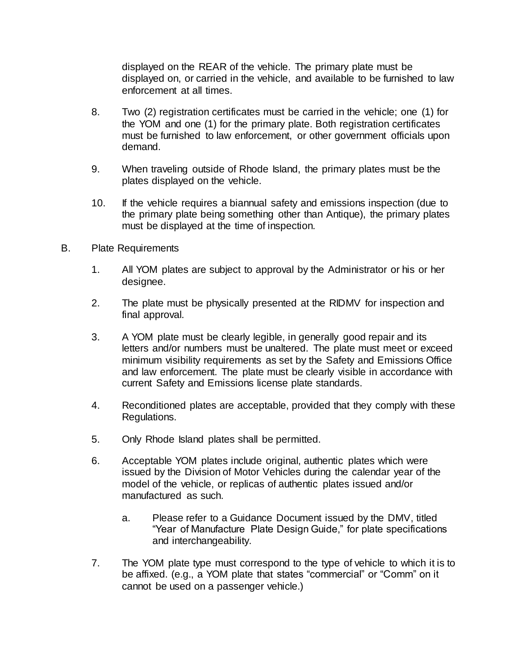displayed on the REAR of the vehicle. The primary plate must be displayed on, or carried in the vehicle, and available to be furnished to law enforcement at all times.

- 8. Two (2) registration certificates must be carried in the vehicle; one (1) for the YOM and one (1) for the primary plate. Both registration certificates must be furnished to law enforcement, or other government officials upon demand.
- 9. When traveling outside of Rhode Island, the primary plates must be the plates displayed on the vehicle.
- 10. If the vehicle requires a biannual safety and emissions inspection (due to the primary plate being something other than Antique), the primary plates must be displayed at the time of inspection.
- B. Plate Requirements
	- 1. All YOM plates are subject to approval by the Administrator or his or her designee.
	- 2. The plate must be physically presented at the RIDMV for inspection and final approval.
	- 3. A YOM plate must be clearly legible, in generally good repair and its letters and/or numbers must be unaltered. The plate must meet or exceed minimum visibility requirements as set by the Safety and Emissions Office and law enforcement. The plate must be clearly visible in accordance with current Safety and Emissions license plate standards.
	- 4. Reconditioned plates are acceptable, provided that they comply with these Regulations.
	- 5. Only Rhode Island plates shall be permitted.
	- 6. Acceptable YOM plates include original, authentic plates which were issued by the Division of Motor Vehicles during the calendar year of the model of the vehicle, or replicas of authentic plates issued and/or manufactured as such.
		- a. Please refer to a Guidance Document issued by the DMV, titled "Year of Manufacture Plate Design Guide," for plate specifications and interchangeability.
	- 7. The YOM plate type must correspond to the type of vehicle to which it is to be affixed. (e.g., a YOM plate that states "commercial" or "Comm" on it cannot be used on a passenger vehicle.)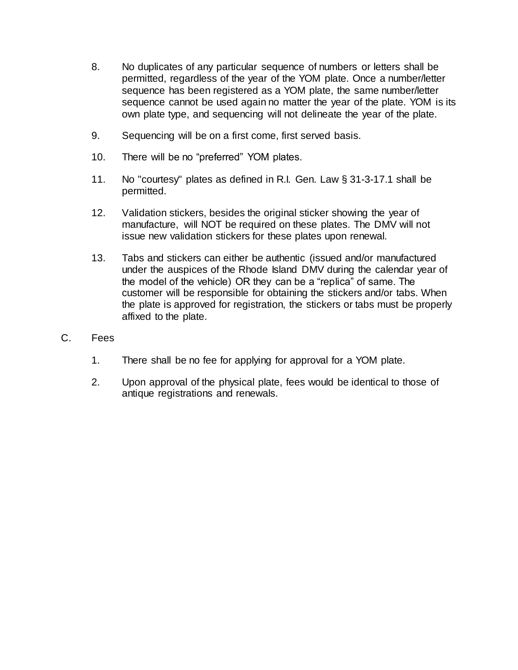- 8. No duplicates of any particular sequence of numbers or letters shall be permitted, regardless of the year of the YOM plate. Once a number/letter sequence has been registered as a YOM plate, the same number/letter sequence cannot be used again no matter the year of the plate. YOM is its own plate type, and sequencing will not delineate the year of the plate.
- 9. Sequencing will be on a first come, first served basis.
- 10. There will be no "preferred" YOM plates.
- 11. No "courtesy" plates as defined in R.I. Gen. Law § 31-3-17.1 shall be permitted.
- 12. Validation stickers, besides the original sticker showing the year of manufacture, will NOT be required on these plates. The DMV will not issue new validation stickers for these plates upon renewal.
- 13. Tabs and stickers can either be authentic (issued and/or manufactured under the auspices of the Rhode Island DMV during the calendar year of the model of the vehicle) OR they can be a "replica" of same. The customer will be responsible for obtaining the stickers and/or tabs. When the plate is approved for registration, the stickers or tabs must be properly affixed to the plate.
- C. Fees
	- 1. There shall be no fee for applying for approval for a YOM plate.
	- 2. Upon approval of the physical plate, fees would be identical to those of antique registrations and renewals.